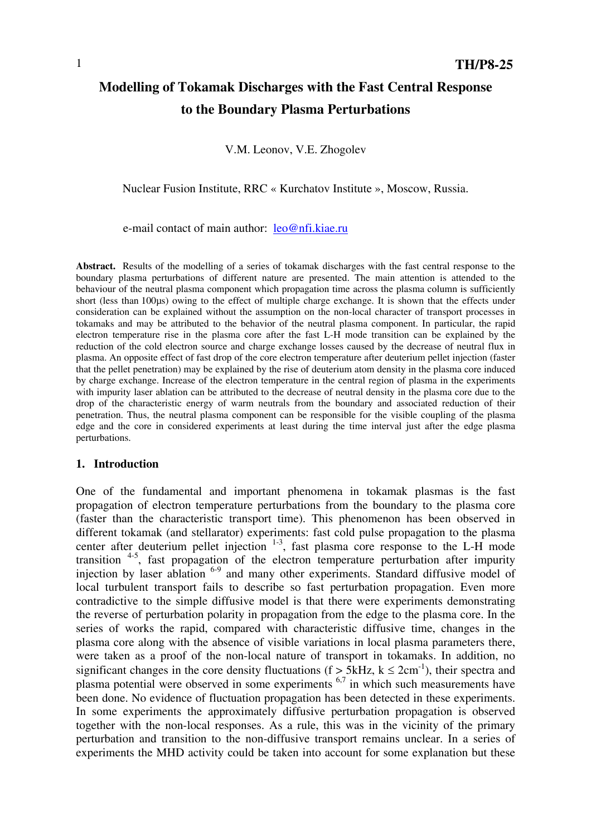# **Modelling of Tokamak Discharges with the Fast Central Response to the Boundary Plasma Perturbations**

V.M. Leonov, V.E. Zhogolev

Nuclear Fusion Institute, RRC « Kurchatov Institute », Moscow, Russia.

e-mail contact of main author: leo@nfi.kiae.ru

**Abstract.** Results of the modelling of a series of tokamak discharges with the fast central response to the boundary plasma perturbations of different nature are presented. The main attention is attended to the behaviour of the neutral plasma component which propagation time across the plasma column is sufficiently short (less than 100us) owing to the effect of multiple charge exchange. It is shown that the effects under consideration can be explained without the assumption on the non-local character of transport processes in tokamaks and may be attributed to the behavior of the neutral plasma component. In particular, the rapid electron temperature rise in the plasma core after the fast L-H mode transition can be explained by the reduction of the cold electron source and charge exchange losses caused by the decrease of neutral flux in plasma. An opposite effect of fast drop of the core electron temperature after deuterium pellet injection (faster that the pellet penetration) may be explained by the rise of deuterium atom density in the plasma core induced by charge exchange. Increase of the electron temperature in the central region of plasma in the experiments with impurity laser ablation can be attributed to the decrease of neutral density in the plasma core due to the drop of the characteristic energy of warm neutrals from the boundary and associated reduction of their penetration. Thus, the neutral plasma component can be responsible for the visible coupling of the plasma edge and the core in considered experiments at least during the time interval just after the edge plasma perturbations.

#### **1. Introduction**

One of the fundamental and important phenomena in tokamak plasmas is the fast propagation of electron temperature perturbations from the boundary to the plasma core (faster than the characteristic transport time). This phenomenon has been observed in different tokamak (and stellarator) experiments: fast cold pulse propagation to the plasma center after deuterium pellet injection  $1-3$ , fast plasma core response to the L-H mode transition  $4-5$ , fast propagation of the electron temperature perturbation after impurity injection by laser ablation <sup>6-9</sup> and many other experiments. Standard diffusive model of local turbulent transport fails to describe so fast perturbation propagation. Even more contradictive to the simple diffusive model is that there were experiments demonstrating the reverse of perturbation polarity in propagation from the edge to the plasma core. In the series of works the rapid, compared with characteristic diffusive time, changes in the plasma core along with the absence of visible variations in local plasma parameters there, were taken as a proof of the non-local nature of transport in tokamaks. In addition, no significant changes in the core density fluctuations (f > 5kHz,  $k \le 2cm^{-1}$ ), their spectra and plasma potential were observed in some experiments 6,7 in which such measurements have been done. No evidence of fluctuation propagation has been detected in these experiments. In some experiments the approximately diffusive perturbation propagation is observed together with the non-local responses. As a rule, this was in the vicinity of the primary perturbation and transition to the non-diffusive transport remains unclear. In a series of experiments the MHD activity could be taken into account for some explanation but these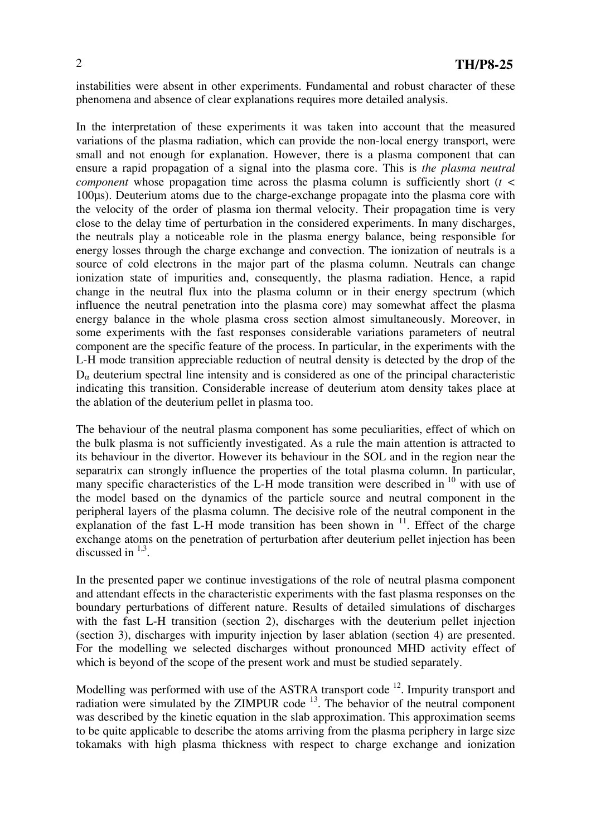instabilities were absent in other experiments. Fundamental and robust character of these phenomena and absence of clear explanations requires more detailed analysis.

In the interpretation of these experiments it was taken into account that the measured variations of the plasma radiation, which can provide the non-local energy transport, were small and not enough for explanation. However, there is a plasma component that can ensure a rapid propagation of a signal into the plasma core. This is *the plasma neutral component* whose propagation time across the plasma column is sufficiently short (*t <* 100µs). Deuterium atoms due to the charge-exchange propagate into the plasma core with the velocity of the order of plasma ion thermal velocity. Their propagation time is very close to the delay time of perturbation in the considered experiments. In many discharges, the neutrals play a noticeable role in the plasma energy balance, being responsible for energy losses through the charge exchange and convection. The ionization of neutrals is a source of cold electrons in the major part of the plasma column. Neutrals can change ionization state of impurities and, consequently, the plasma radiation. Hence, a rapid change in the neutral flux into the plasma column or in their energy spectrum (which influence the neutral penetration into the plasma core) may somewhat affect the plasma energy balance in the whole plasma cross section almost simultaneously. Moreover, in some experiments with the fast responses considerable variations parameters of neutral component are the specific feature of the process. In particular, in the experiments with the L-H mode transition appreciable reduction of neutral density is detected by the drop of the  $D_{\alpha}$  deuterium spectral line intensity and is considered as one of the principal characteristic indicating this transition. Considerable increase of deuterium atom density takes place at the ablation of the deuterium pellet in plasma too.

The behaviour of the neutral plasma component has some peculiarities, effect of which on the bulk plasma is not sufficiently investigated. As a rule the main attention is attracted to its behaviour in the divertor. However its behaviour in the SOL and in the region near the separatrix can strongly influence the properties of the total plasma column. In particular, many specific characteristics of the L-H mode transition were described in  $10$  with use of the model based on the dynamics of the particle source and neutral component in the peripheral layers of the plasma column. The decisive role of the neutral component in the explanation of the fast L-H mode transition has been shown in  $11$ . Effect of the charge exchange atoms on the penetration of perturbation after deuterium pellet injection has been discussed in  $^{1,3}$ .

In the presented paper we continue investigations of the role of neutral plasma component and attendant effects in the characteristic experiments with the fast plasma responses on the boundary perturbations of different nature. Results of detailed simulations of discharges with the fast L-H transition (section 2), discharges with the deuterium pellet injection (section 3), discharges with impurity injection by laser ablation (section 4) are presented. For the modelling we selected discharges without pronounced MHD activity effect of which is beyond of the scope of the present work and must be studied separately.

Modelling was performed with use of the ASTRA transport code <sup>12</sup>. Impurity transport and radiation were simulated by the  $ZIMPUR$  code  $13$ . The behavior of the neutral component was described by the kinetic equation in the slab approximation. This approximation seems to be quite applicable to describe the atoms arriving from the plasma periphery in large size tokamaks with high plasma thickness with respect to charge exchange and ionization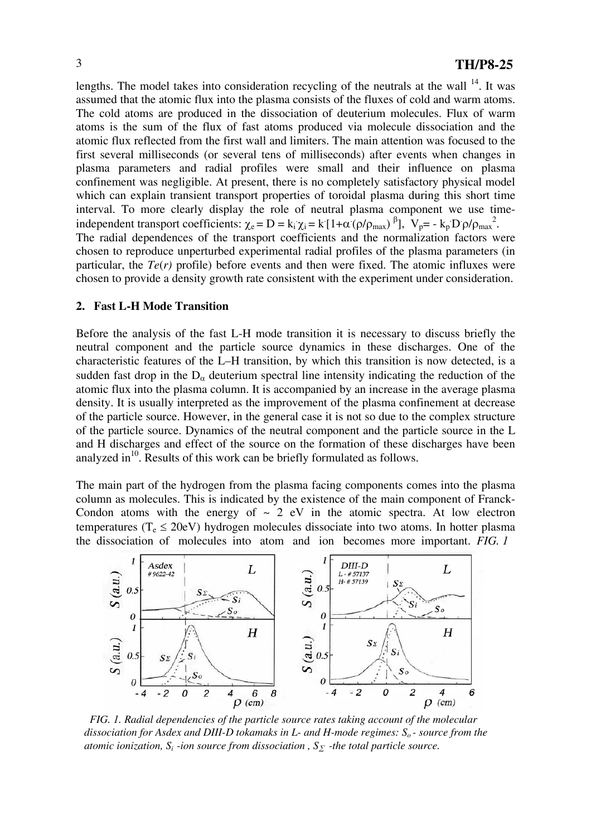lengths. The model takes into consideration recycling of the neutrals at the wall <sup>14</sup>. It was assumed that the atomic flux into the plasma consists of the fluxes of cold and warm atoms. The cold atoms are produced in the dissociation of deuterium molecules. Flux of warm atoms is the sum of the flux of fast atoms produced via molecule dissociation and the atomic flux reflected from the first wall and limiters. The main attention was focused to the first several milliseconds (or several tens of milliseconds) after events when changes in plasma parameters and radial profiles were small and their influence on plasma confinement was negligible. At present, there is no completely satisfactory physical model which can explain transient transport properties of toroidal plasma during this short time interval. To more clearly display the role of neutral plasma component we use timeindependent transport coefficients:  $\chi_e = D = k_i \chi_i = k [1 + \alpha (\rho/\rho_{max})^{\beta}]$ ,  $V_p = -k_p D \rho/\rho_{max}^2$ . The radial dependences of the transport coefficients and the normalization factors were chosen to reproduce unperturbed experimental radial profiles of the plasma parameters (in particular, the  $Te(r)$  profile) before events and then were fixed. The atomic influxes were chosen to provide a density growth rate consistent with the experiment under consideration.

#### **2. Fast L-H Mode Transition**

Before the analysis of the fast L-H mode transition it is necessary to discuss briefly the neutral component and the particle source dynamics in these discharges. One of the characteristic features of the L–H transition, by which this transition is now detected, is a sudden fast drop in the  $D_{\alpha}$  deuterium spectral line intensity indicating the reduction of the atomic flux into the plasma column. It is accompanied by an increase in the average plasma density. It is usually interpreted as the improvement of the plasma confinement at decrease of the particle source. However, in the general case it is not so due to the complex structure of the particle source. Dynamics of the neutral component and the particle source in the L and H discharges and effect of the source on the formation of these discharges have been analyzed in $^{10}$ . Results of this work can be briefly formulated as follows.

The main part of the hydrogen from the plasma facing components comes into the plasma column as molecules. This is indicated by the existence of the main component of Franck-Condon atoms with the energy of  $\sim$  2 eV in the atomic spectra. At low electron temperatures ( $T_e \le 20$ eV) hydrogen molecules dissociate into two atoms. In hotter plasma the dissociation of molecules into atom and ion becomes more important. *FIG. 1*



 *FIG. 1. Radial dependencies of the particle source rates taking account of the molecular*  dissociation for Asdex and DIII-D tokamaks in L- and H-mode regimes:  $S_0$ - source from the *atomic ionization,*  $S_i$  -ion source from dissociation,  $S_{\Sigma}$  -the total particle source.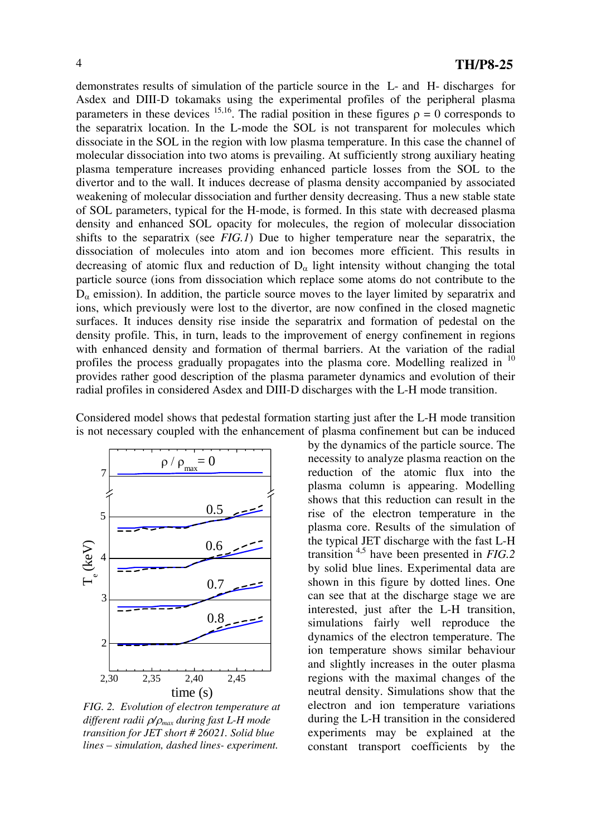demonstrates results of simulation of the particle source in the L- and H- discharges for Asdex and DIII-D tokamaks using the experimental profiles of the peripheral plasma parameters in these devices <sup>15,16</sup>. The radial position in these figures  $\rho = 0$  corresponds to the separatrix location. In the L-mode the SOL is not transparent for molecules which dissociate in the SOL in the region with low plasma temperature. In this case the channel of molecular dissociation into two atoms is prevailing. At sufficiently strong auxiliary heating plasma temperature increases providing enhanced particle losses from the SOL to the divertor and to the wall. It induces decrease of plasma density accompanied by associated weakening of molecular dissociation and further density decreasing. Thus a new stable state of SOL parameters, typical for the H-mode, is formed. In this state with decreased plasma density and enhanced SOL opacity for molecules, the region of molecular dissociation shifts to the separatrix (see *FIG.1*) Due to higher temperature near the separatrix, the dissociation of molecules into atom and ion becomes more efficient. This results in decreasing of atomic flux and reduction of  $D_{\alpha}$  light intensity without changing the total particle source (ions from dissociation which replace some atoms do not contribute to the  $D_{\alpha}$  emission). In addition, the particle source moves to the layer limited by separatrix and ions, which previously were lost to the divertor, are now confined in the closed magnetic surfaces. It induces density rise inside the separatrix and formation of pedestal on the density profile. This, in turn, leads to the improvement of energy confinement in regions with enhanced density and formation of thermal barriers. At the variation of the radial profiles the process gradually propagates into the plasma core. Modelling realized in <sup>10</sup> provides rather good description of the plasma parameter dynamics and evolution of their radial profiles in considered Asdex and DIII-D discharges with the L-H mode transition.

Considered model shows that pedestal formation starting just after the L-H mode transition is not necessary coupled with the enhancement of plasma confinement but can be induced



*FIG. 2. Evolution of electron temperature at different radii* ρ*/*ρ*max during fast L-H mode transition for JET short # 26021. Solid blue lines – simulation, dashed lines- experiment.* 

by the dynamics of the particle source. The necessity to analyze plasma reaction on the reduction of the atomic flux into the plasma column is appearing. Modelling shows that this reduction can result in the rise of the electron temperature in the plasma core. Results of the simulation of the typical JET discharge with the fast L-H transition 4,5 have been presented in *FIG.2* by solid blue lines. Experimental data are shown in this figure by dotted lines. One can see that at the discharge stage we are interested, just after the L-H transition, simulations fairly well reproduce the dynamics of the electron temperature. The ion temperature shows similar behaviour and slightly increases in the outer plasma regions with the maximal changes of the neutral density. Simulations show that the electron and ion temperature variations during the L-H transition in the considered experiments may be explained at the constant transport coefficients by the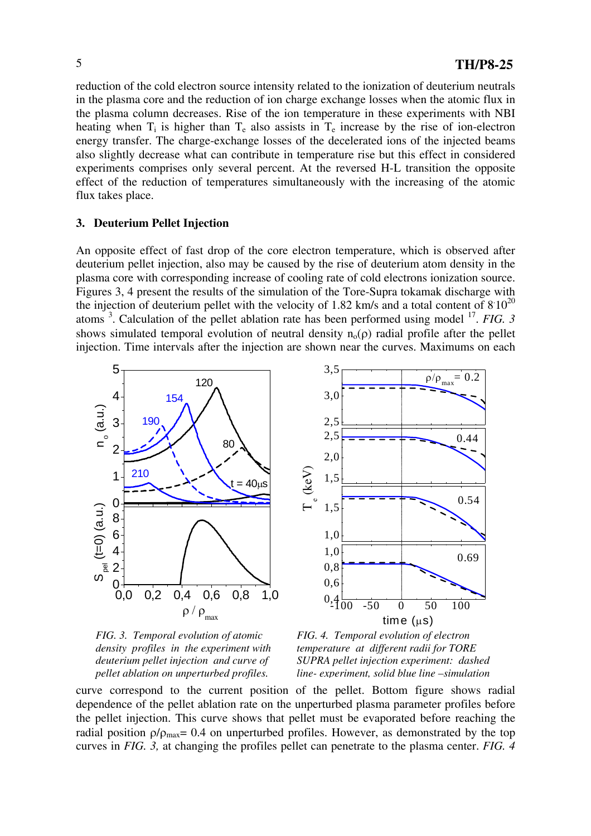reduction of the cold electron source intensity related to the ionization of deuterium neutrals in the plasma core and the reduction of ion charge exchange losses when the atomic flux in the plasma column decreases. Rise of the ion temperature in these experiments with NBI heating when  $T_i$  is higher than  $T_e$  also assists in  $T_e$  increase by the rise of ion-electron energy transfer. The charge-exchange losses of the decelerated ions of the injected beams also slightly decrease what can contribute in temperature rise but this effect in considered experiments comprises only several percent. At the reversed H-L transition the opposite effect of the reduction of temperatures simultaneously with the increasing of the atomic flux takes place.

## **3. Deuterium Pellet Injection**

An opposite effect of fast drop of the core electron temperature, which is observed after deuterium pellet injection, also may be caused by the rise of deuterium atom density in the plasma core with corresponding increase of cooling rate of cold electrons ionization source. Figures 3, 4 present the results of the simulation of the Tore-Supra tokamak discharge with the injection of deuterium pellet with the velocity of 1.82 km/s and a total content of  $8\,10^{20}$ atoms <sup>3</sup> . Calculation of the pellet ablation rate has been performed using model 17. *FIG. 3* shows simulated temporal evolution of neutral density  $n_0(\rho)$  radial profile after the pellet injection. Time intervals after the injection are shown near the curves. Maximums on each







curve correspond to the current position of the pellet. Bottom figure shows radial dependence of the pellet ablation rate on the unperturbed plasma parameter profiles before the pellet injection. This curve shows that pellet must be evaporated before reaching the radial position  $\rho/\rho_{\text{max}}$  = 0.4 on unperturbed profiles. However, as demonstrated by the top curves in *FIG. 3,* at changing the profiles pellet can penetrate to the plasma center. *FIG. 4*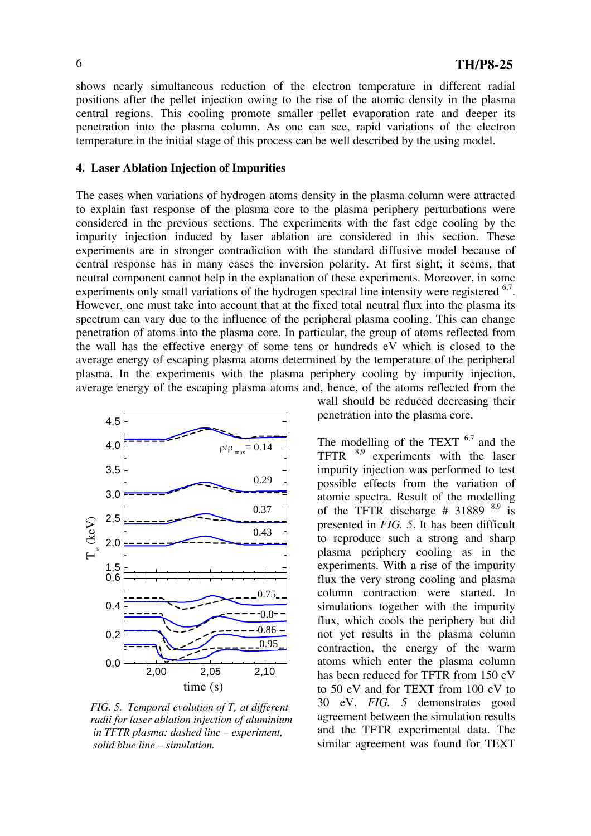shows nearly simultaneous reduction of the electron temperature in different radial positions after the pellet injection owing to the rise of the atomic density in the plasma central regions. This cooling promote smaller pellet evaporation rate and deeper its penetration into the plasma column. As one can see, rapid variations of the electron temperature in the initial stage of this process can be well described by the using model.

#### **4. Laser Ablation Injection of Impurities**

The cases when variations of hydrogen atoms density in the plasma column were attracted to explain fast response of the plasma core to the plasma periphery perturbations were considered in the previous sections. The experiments with the fast edge cooling by the impurity injection induced by laser ablation are considered in this section. These experiments are in stronger contradiction with the standard diffusive model because of central response has in many cases the inversion polarity. At first sight, it seems, that neutral component cannot help in the explanation of these experiments. Moreover, in some experiments only small variations of the hydrogen spectral line intensity were registered <sup>6,7</sup>. However, one must take into account that at the fixed total neutral flux into the plasma its spectrum can vary due to the influence of the peripheral plasma cooling. This can change penetration of atoms into the plasma core. In particular, the group of atoms reflected from the wall has the effective energy of some tens or hundreds eV which is closed to the average energy of escaping plasma atoms determined by the temperature of the peripheral plasma. In the experiments with the plasma periphery cooling by impurity injection, average energy of the escaping plasma atoms and, hence, of the atoms reflected from the



 *FIG. 5. Temporal evolution of Te at different radii for laser ablation injection of aluminium in TFTR plasma: dashed line – experiment, solid blue line – simulation.* 

wall should be reduced decreasing their penetration into the plasma core.

The modelling of the TEXT  $6.7$  and the TFTR  $^{8,9}$  experiments with the laser impurity injection was performed to test possible effects from the variation of atomic spectra. Result of the modelling of the TFTR discharge #  $31889$  <sup>8,9</sup> is presented in *FIG. 5*. It has been difficult to reproduce such a strong and sharp plasma periphery cooling as in the experiments. With a rise of the impurity flux the very strong cooling and plasma column contraction were started. In simulations together with the impurity flux, which cools the periphery but did not yet results in the plasma column contraction, the energy of the warm atoms which enter the plasma column has been reduced for TFTR from 150 eV to 50 eV and for TEXT from 100 eV to 30 eV. *FIG. 5* demonstrates good agreement between the simulation results and the TFTR experimental data. The similar agreement was found for TEXT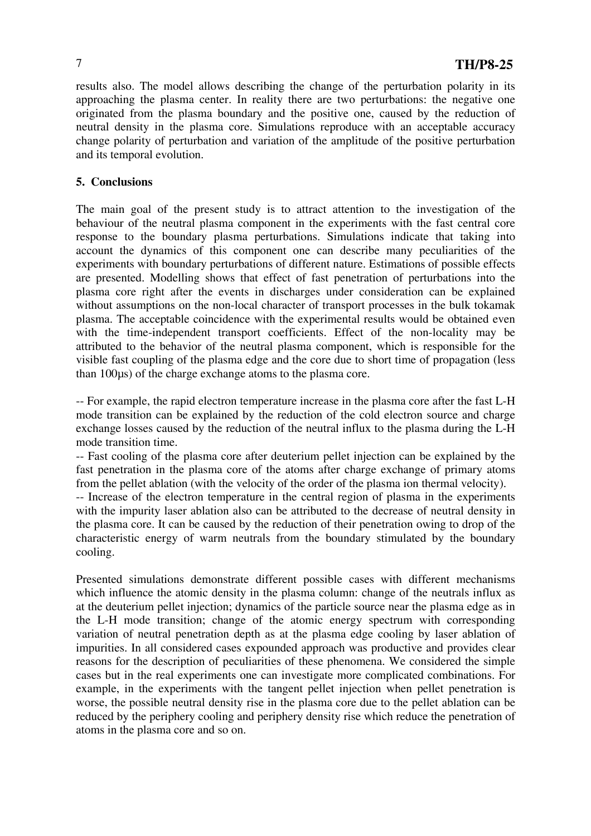results also. The model allows describing the change of the perturbation polarity in its approaching the plasma center. In reality there are two perturbations: the negative one originated from the plasma boundary and the positive one, caused by the reduction of neutral density in the plasma core. Simulations reproduce with an acceptable accuracy change polarity of perturbation and variation of the amplitude of the positive perturbation and its temporal evolution.

## **5. Conclusions**

The main goal of the present study is to attract attention to the investigation of the behaviour of the neutral plasma component in the experiments with the fast central core response to the boundary plasma perturbations. Simulations indicate that taking into account the dynamics of this component one can describe many peculiarities of the experiments with boundary perturbations of different nature. Estimations of possible effects are presented. Modelling shows that effect of fast penetration of perturbations into the plasma core right after the events in discharges under consideration can be explained without assumptions on the non-local character of transport processes in the bulk tokamak plasma. The acceptable coincidence with the experimental results would be obtained even with the time-independent transport coefficients. Effect of the non-locality may be attributed to the behavior of the neutral plasma component, which is responsible for the visible fast coupling of the plasma edge and the core due to short time of propagation (less than 100µs) of the charge exchange atoms to the plasma core.

-- For example, the rapid electron temperature increase in the plasma core after the fast L-H mode transition can be explained by the reduction of the cold electron source and charge exchange losses caused by the reduction of the neutral influx to the plasma during the L-H mode transition time.

-- Fast cooling of the plasma core after deuterium pellet injection can be explained by the fast penetration in the plasma core of the atoms after charge exchange of primary atoms from the pellet ablation (with the velocity of the order of the plasma ion thermal velocity).

-- Increase of the electron temperature in the central region of plasma in the experiments with the impurity laser ablation also can be attributed to the decrease of neutral density in the plasma core. It can be caused by the reduction of their penetration owing to drop of the characteristic energy of warm neutrals from the boundary stimulated by the boundary cooling.

Presented simulations demonstrate different possible cases with different mechanisms which influence the atomic density in the plasma column: change of the neutrals influx as at the deuterium pellet injection; dynamics of the particle source near the plasma edge as in the L-H mode transition; change of the atomic energy spectrum with corresponding variation of neutral penetration depth as at the plasma edge cooling by laser ablation of impurities. In all considered cases expounded approach was productive and provides clear reasons for the description of peculiarities of these phenomena. We considered the simple cases but in the real experiments one can investigate more complicated combinations. For example, in the experiments with the tangent pellet injection when pellet penetration is worse, the possible neutral density rise in the plasma core due to the pellet ablation can be reduced by the periphery cooling and periphery density rise which reduce the penetration of atoms in the plasma core and so on.